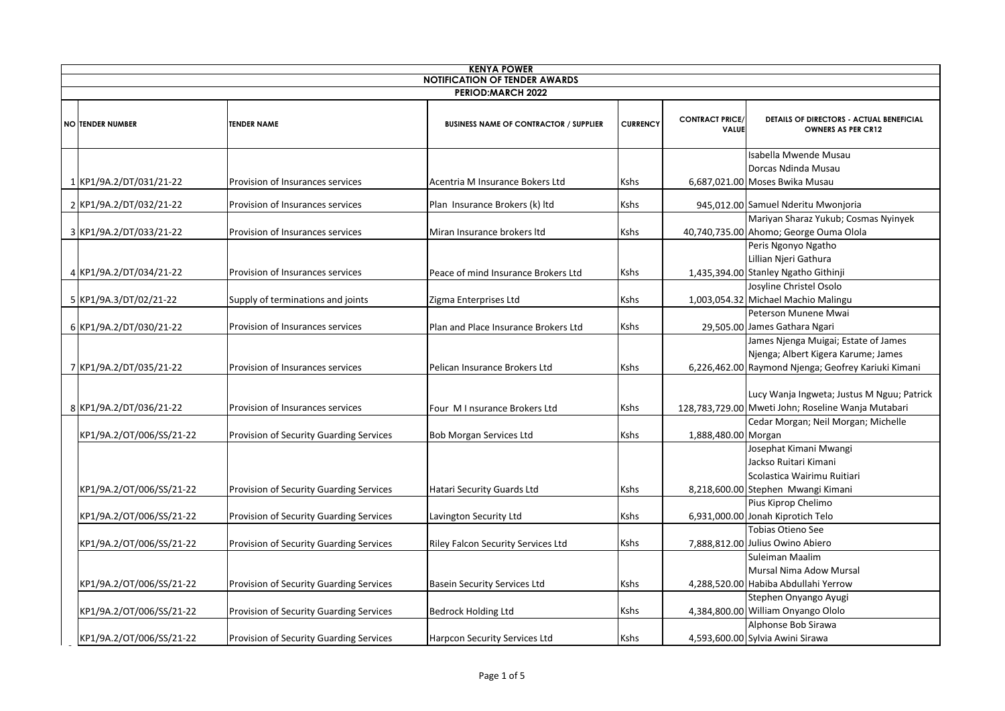|                          | <b>KENYA POWER</b><br><b>NOTIFICATION OF TENDER AWARDS</b> |                                         |                                               |                 |                                        |                                                                                                                                    |  |
|--------------------------|------------------------------------------------------------|-----------------------------------------|-----------------------------------------------|-----------------|----------------------------------------|------------------------------------------------------------------------------------------------------------------------------------|--|
| <b>PERIOD:MARCH 2022</b> |                                                            |                                         |                                               |                 |                                        |                                                                                                                                    |  |
|                          | <b>NO TENDER NUMBER</b>                                    | <b>TENDER NAME</b>                      | <b>BUSINESS NAME OF CONTRACTOR / SUPPLIER</b> | <b>CURRENCY</b> | <b>CONTRACT PRICE/</b><br><b>VALUE</b> | DETAILS OF DIRECTORS - ACTUAL BENEFICIAL<br><b>OWNERS AS PER CR12</b>                                                              |  |
|                          | 1 KP1/9A.2/DT/031/21-22                                    | Provision of Insurances services        | Acentria M Insurance Bokers Ltd               | Kshs            |                                        | Isabella Mwende Musau<br>Dorcas Ndinda Musau<br>6,687,021.00 Moses Bwika Musau                                                     |  |
|                          | 2 KP1/9A.2/DT/032/21-22                                    | Provision of Insurances services        | Plan Insurance Brokers (k) Itd                | Kshs            |                                        | 945,012.00 Samuel Nderitu Mwonjoria                                                                                                |  |
|                          | 3 KP1/9A.2/DT/033/21-22                                    | Provision of Insurances services        | Miran Insurance brokers Itd                   | Kshs            |                                        | Mariyan Sharaz Yukub; Cosmas Nyinyek<br>40,740,735.00 Ahomo; George Ouma Olola<br>Peris Ngonyo Ngatho                              |  |
|                          | 4 KP1/9A.2/DT/034/21-22                                    | Provision of Insurances services        | Peace of mind Insurance Brokers Ltd           | Kshs            |                                        | Lillian Njeri Gathura<br>1,435,394.00 Stanley Ngatho Githinji<br>Josyline Christel Osolo                                           |  |
|                          | 5 KP1/9A.3/DT/02/21-22                                     | Supply of terminations and joints       | Zigma Enterprises Ltd                         | Kshs            |                                        | 1,003,054.32 Michael Machio Malingu                                                                                                |  |
|                          | 6 KP1/9A.2/DT/030/21-22                                    | Provision of Insurances services        | Plan and Place Insurance Brokers Ltd          | Kshs            |                                        | Peterson Munene Mwai<br>29,505.00 James Gathara Ngari                                                                              |  |
|                          | 7 KP1/9A.2/DT/035/21-22                                    | Provision of Insurances services        | Pelican Insurance Brokers Ltd                 | Kshs            |                                        | James Njenga Muigai; Estate of James<br>Njenga; Albert Kigera Karume; James<br>6,226,462.00 Raymond Njenga; Geofrey Kariuki Kimani |  |
|                          | 8 KP1/9A.2/DT/036/21-22                                    | Provision of Insurances services        | Four M I nsurance Brokers Ltd                 | Kshs            |                                        | Lucy Wanja Ingweta; Justus M Nguu; Patrick<br>128,783,729.00 Mweti John; Roseline Wanja Mutabari                                   |  |
|                          | KP1/9A.2/OT/006/SS/21-22                                   | Provision of Security Guarding Services | <b>Bob Morgan Services Ltd</b>                | Kshs            | 1,888,480.00 Morgan                    | Cedar Morgan; Neil Morgan; Michelle                                                                                                |  |
|                          | KP1/9A.2/OT/006/SS/21-22                                   | Provision of Security Guarding Services | Hatari Security Guards Ltd                    | Kshs            |                                        | Josephat Kimani Mwangi<br>Jackso Ruitari Kimani<br>Scolastica Wairimu Ruitiari<br>8,218,600.00 Stephen Mwangi Kimani               |  |
|                          | KP1/9A.2/OT/006/SS/21-22                                   | Provision of Security Guarding Services | Lavington Security Ltd                        | Kshs            |                                        | Pius Kiprop Chelimo<br>6,931,000.00 Jonah Kiprotich Telo                                                                           |  |
|                          | KP1/9A.2/OT/006/SS/21-22                                   | Provision of Security Guarding Services | <b>Riley Falcon Security Services Ltd</b>     | Kshs            |                                        | Tobias Otieno See<br>7,888,812.00 Julius Owino Abiero                                                                              |  |
|                          | KP1/9A.2/OT/006/SS/21-22                                   | Provision of Security Guarding Services | <b>Basein Security Services Ltd</b>           | Kshs            |                                        | Suleiman Maalim<br>Mursal Nima Adow Mursal<br>4,288,520.00 Habiba Abdullahi Yerrow                                                 |  |
|                          | KP1/9A.2/OT/006/SS/21-22                                   | Provision of Security Guarding Services | <b>Bedrock Holding Ltd</b>                    | Kshs            |                                        | Stephen Onyango Ayugi<br>4,384,800.00 William Onyango Ololo                                                                        |  |
|                          | KP1/9A.2/OT/006/SS/21-22                                   | Provision of Security Guarding Services | Harpcon Security Services Ltd                 | Kshs            |                                        | Alphonse Bob Sirawa<br>4,593,600.00 Sylvia Awini Sirawa                                                                            |  |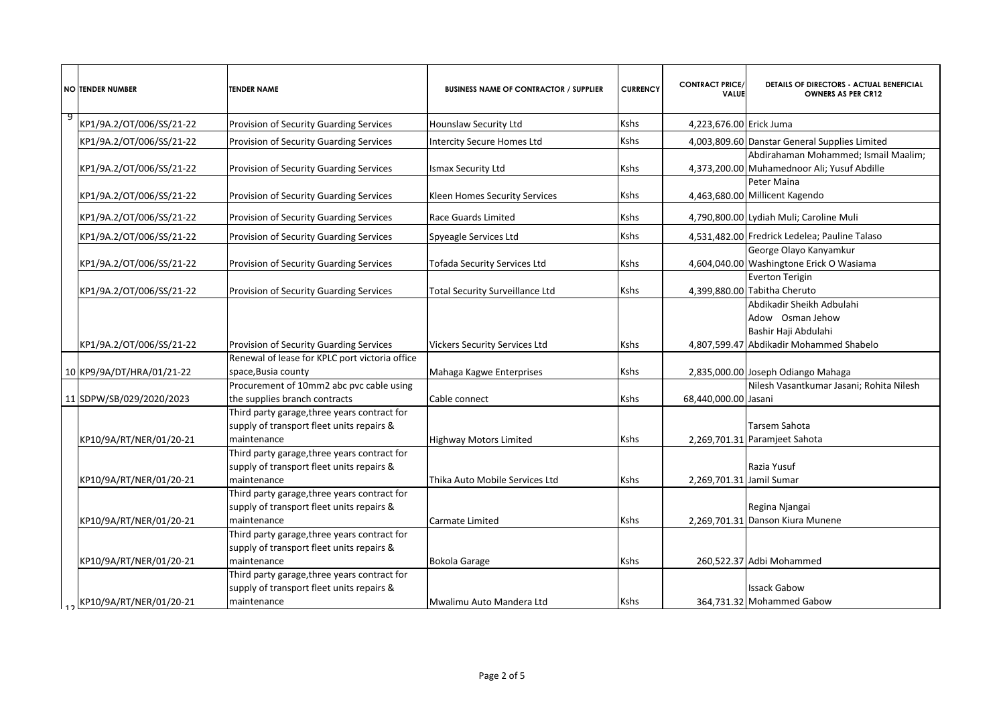|    | <b>NO TENDER NUMBER</b>   | <b>TENDER NAME</b>                                                                                       | <b>BUSINESS NAME OF CONTRACTOR / SUPPLIER</b> | <b>CURRENCY</b> | <b>CONTRACT PRICE/</b><br>VALUE | <b>DETAILS OF DIRECTORS - ACTUAL BENEFICIAL</b><br><b>OWNERS AS PER CR12</b>                                     |
|----|---------------------------|----------------------------------------------------------------------------------------------------------|-----------------------------------------------|-----------------|---------------------------------|------------------------------------------------------------------------------------------------------------------|
| و- | KP1/9A.2/OT/006/SS/21-22  | Provision of Security Guarding Services                                                                  | Hounslaw Security Ltd                         | Kshs            | 4,223,676.00 Erick Juma         |                                                                                                                  |
|    | KP1/9A.2/OT/006/SS/21-22  | Provision of Security Guarding Services                                                                  | <b>Intercity Secure Homes Ltd</b>             | Kshs            |                                 | 4,003,809.60 Danstar General Supplies Limited                                                                    |
|    | KP1/9A.2/OT/006/SS/21-22  | Provision of Security Guarding Services                                                                  | <b>Ismax Security Ltd</b>                     | Kshs            |                                 | Abdirahaman Mohammed; Ismail Maalim;<br>4,373,200.00 Muhamednoor Ali; Yusuf Abdille                              |
|    | KP1/9A.2/OT/006/SS/21-22  | Provision of Security Guarding Services                                                                  | Kleen Homes Security Services                 | Kshs            |                                 | Peter Maina<br>4,463,680.00 Millicent Kagendo                                                                    |
|    | KP1/9A.2/OT/006/SS/21-22  | Provision of Security Guarding Services                                                                  | Race Guards Limited                           | Kshs            |                                 | 4,790,800.00 Lydiah Muli; Caroline Muli                                                                          |
|    | KP1/9A.2/OT/006/SS/21-22  | Provision of Security Guarding Services                                                                  | Spyeagle Services Ltd                         | Kshs            |                                 | 4,531,482.00 Fredrick Ledelea; Pauline Talaso                                                                    |
|    | KP1/9A.2/OT/006/SS/21-22  | Provision of Security Guarding Services                                                                  | <b>Tofada Security Services Ltd</b>           | Kshs            |                                 | George Olayo Kanyamkur<br>4,604,040.00 Washingtone Erick O Wasiama                                               |
|    | KP1/9A.2/OT/006/SS/21-22  | Provision of Security Guarding Services                                                                  | <b>Total Security Surveillance Ltd</b>        | <b>Kshs</b>     |                                 | <b>Everton Terigin</b><br>4,399,880.00 Tabitha Cheruto                                                           |
|    | KP1/9A.2/OT/006/SS/21-22  | Provision of Security Guarding Services                                                                  | <b>Vickers Security Services Ltd</b>          | Kshs            |                                 | Abdikadir Sheikh Adbulahi<br>Adow Osman Jehow<br>Bashir Haji Abdulahi<br>4,807,599.47 Abdikadir Mohammed Shabelo |
|    | 10 KP9/9A/DT/HRA/01/21-22 | Renewal of lease for KPLC port victoria office<br>space,Busia county                                     | Mahaga Kagwe Enterprises                      | Kshs            |                                 | 2,835,000.00 Joseph Odiango Mahaga                                                                               |
|    | 11 SDPW/SB/029/2020/2023  | Procurement of 10mm2 abc pvc cable using<br>the supplies branch contracts                                | Cable connect                                 | Kshs            | 68,440,000.00 Jasani            | Nilesh Vasantkumar Jasani; Rohita Nilesh                                                                         |
|    | KP10/9A/RT/NER/01/20-21   | Third party garage, three years contract for<br>supply of transport fleet units repairs &<br>maintenance | <b>Highway Motors Limited</b>                 | <b>Kshs</b>     |                                 | Tarsem Sahota<br>2,269,701.31 Paramjeet Sahota                                                                   |
|    | KP10/9A/RT/NER/01/20-21   | Third party garage, three years contract for<br>supply of transport fleet units repairs &<br>maintenance | Thika Auto Mobile Services Ltd                | Kshs            | 2,269,701.31 Jamil Sumar        | Razia Yusuf                                                                                                      |
|    | KP10/9A/RT/NER/01/20-21   | Third party garage, three years contract for<br>supply of transport fleet units repairs &<br>maintenance | Carmate Limited                               | Kshs            |                                 | Regina Njangai<br>2,269,701.31 Danson Kiura Munene                                                               |
|    | KP10/9A/RT/NER/01/20-21   | Third party garage, three years contract for<br>supply of transport fleet units repairs &<br>maintenance | <b>Bokola Garage</b>                          | Kshs            |                                 | 260,522.37 Adbi Mohammed                                                                                         |
|    |                           | Third party garage, three years contract for<br>supply of transport fleet units repairs &                |                                               |                 |                                 | <b>Issack Gabow</b>                                                                                              |
|    | KP10/9A/RT/NER/01/20-21   | maintenance                                                                                              | Mwalimu Auto Mandera Ltd                      | Kshs            |                                 | 364,731.32 Mohammed Gabow                                                                                        |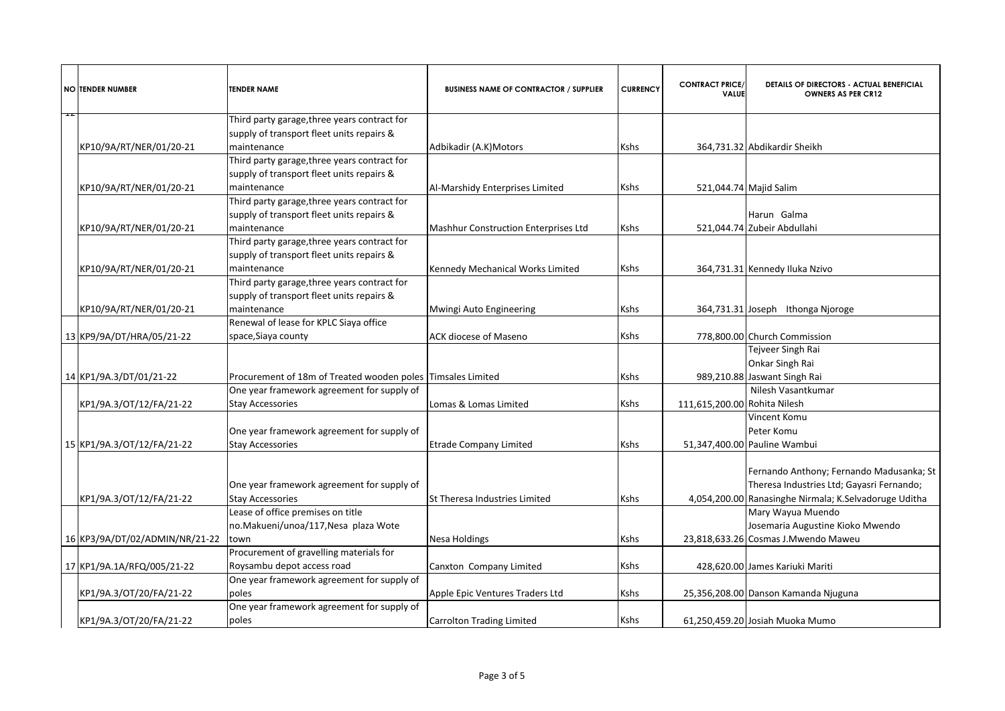|   | <b>NO ITENDER NUMBER</b>       | <b>TENDER NAME</b>                                                                        | <b>BUSINESS NAME OF CONTRACTOR / SUPPLIER</b> | <b>CURRENCY</b> | <b>CONTRACT PRICE/</b><br><b>VALUE</b> | DETAILS OF DIRECTORS - ACTUAL BENEFICIAL<br><b>OWNERS AS PER CR12</b>                 |
|---|--------------------------------|-------------------------------------------------------------------------------------------|-----------------------------------------------|-----------------|----------------------------------------|---------------------------------------------------------------------------------------|
| Ŧ |                                | Third party garage, three years contract for                                              |                                               |                 |                                        |                                                                                       |
|   |                                | supply of transport fleet units repairs &                                                 |                                               |                 |                                        |                                                                                       |
|   | KP10/9A/RT/NER/01/20-21        | maintenance                                                                               | Adbikadir (A.K)Motors                         | Kshs            |                                        | 364,731.32 Abdikardir Sheikh                                                          |
|   |                                | Third party garage, three years contract for<br>supply of transport fleet units repairs & |                                               |                 |                                        |                                                                                       |
|   | KP10/9A/RT/NER/01/20-21        | maintenance                                                                               | Al-Marshidy Enterprises Limited               | Kshs            |                                        | 521,044.74 Majid Salim                                                                |
|   |                                | Third party garage, three years contract for                                              |                                               |                 |                                        |                                                                                       |
|   |                                | supply of transport fleet units repairs &                                                 |                                               |                 |                                        | Harun Galma                                                                           |
|   | KP10/9A/RT/NER/01/20-21        | maintenance                                                                               | <b>Mashhur Construction Enterprises Ltd</b>   | Kshs            |                                        | 521,044.74 Zubeir Abdullahi                                                           |
|   |                                | Third party garage, three years contract for                                              |                                               |                 |                                        |                                                                                       |
|   |                                | supply of transport fleet units repairs &                                                 |                                               |                 |                                        |                                                                                       |
|   | KP10/9A/RT/NER/01/20-21        | maintenance                                                                               | Kennedy Mechanical Works Limited              | Kshs            |                                        | 364,731.31 Kennedy Iluka Nzivo                                                        |
|   |                                | Third party garage, three years contract for                                              |                                               |                 |                                        |                                                                                       |
|   |                                | supply of transport fleet units repairs &                                                 |                                               |                 |                                        |                                                                                       |
|   | KP10/9A/RT/NER/01/20-21        | maintenance                                                                               | Mwingi Auto Engineering                       | Kshs            |                                        | 364,731.31 Joseph Ithonga Njoroge                                                     |
|   |                                | Renewal of lease for KPLC Siaya office                                                    |                                               |                 |                                        |                                                                                       |
|   | 13 KP9/9A/DT/HRA/05/21-22      | space, Siaya county                                                                       | <b>ACK diocese of Maseno</b>                  | Kshs            |                                        | 778,800.00 Church Commission<br>Tejveer Singh Rai                                     |
|   |                                |                                                                                           |                                               |                 |                                        | Onkar Singh Rai                                                                       |
|   | 14 KP1/9A.3/DT/01/21-22        | Procurement of 18m of Treated wooden poles Timsales Limited                               |                                               | Kshs            |                                        | 989,210.88 Jaswant Singh Rai                                                          |
|   |                                | One year framework agreement for supply of                                                |                                               |                 |                                        | Nilesh Vasantkumar                                                                    |
|   | KP1/9A.3/OT/12/FA/21-22        | <b>Stay Accessories</b>                                                                   | Lomas & Lomas Limited                         | Kshs            | 111,615,200.00 Rohita Nilesh           |                                                                                       |
|   |                                |                                                                                           |                                               |                 |                                        | Vincent Komu                                                                          |
|   |                                | One year framework agreement for supply of                                                |                                               |                 |                                        | Peter Komu                                                                            |
|   | 15 KP1/9A.3/OT/12/FA/21-22     | <b>Stay Accessories</b>                                                                   | <b>Etrade Company Limited</b>                 | Kshs            |                                        | 51,347,400.00 Pauline Wambui                                                          |
|   |                                | One year framework agreement for supply of                                                |                                               |                 |                                        | Fernando Anthony; Fernando Madusanka; St<br>Theresa Industries Ltd; Gayasri Fernando; |
|   | KP1/9A.3/OT/12/FA/21-22        | <b>Stay Accessories</b>                                                                   | St Theresa Industries Limited                 | Kshs            |                                        | 4,054,200.00 Ranasinghe Nirmala; K.Selvadoruge Uditha                                 |
|   |                                | Lease of office premises on title                                                         |                                               |                 |                                        | Mary Wayua Muendo                                                                     |
|   |                                | no.Makueni/unoa/117,Nesa plaza Wote                                                       |                                               |                 |                                        | Josemaria Augustine Kioko Mwendo                                                      |
|   | 16 KP3/9A/DT/02/ADMIN/NR/21-22 | town                                                                                      | <b>Nesa Holdings</b>                          | Kshs            |                                        | 23,818,633.26 Cosmas J.Mwendo Maweu                                                   |
|   |                                | Procurement of gravelling materials for                                                   |                                               |                 |                                        |                                                                                       |
|   | 17 KP1/9A.1A/RFQ/005/21-22     | Roysambu depot access road                                                                | Canxton Company Limited                       | Kshs            |                                        | 428,620.00 James Kariuki Mariti                                                       |
|   |                                | One year framework agreement for supply of                                                |                                               |                 |                                        |                                                                                       |
|   | KP1/9A.3/OT/20/FA/21-22        | poles                                                                                     | Apple Epic Ventures Traders Ltd               | Kshs            |                                        | 25,356,208.00 Danson Kamanda Njuguna                                                  |
|   |                                | One year framework agreement for supply of                                                |                                               |                 |                                        |                                                                                       |
|   | KP1/9A.3/OT/20/FA/21-22        | poles                                                                                     | <b>Carrolton Trading Limited</b>              | Kshs            |                                        | 61,250,459.20 Josiah Muoka Mumo                                                       |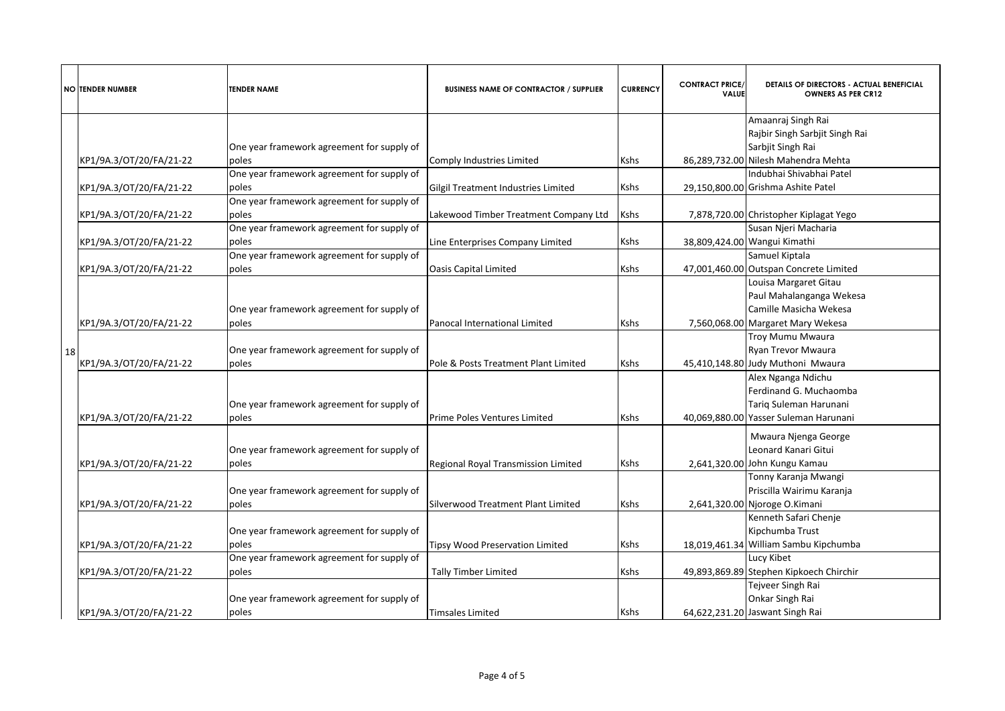| <b>NO TENDER NUMBER</b> | <b>TENDER NAME</b>                         | <b>BUSINESS NAME OF CONTRACTOR / SUPPLIER</b> | <b>CURRENCY</b> | <b>CONTRACT PRICE/</b><br><b>VALUE</b> | DETAILS OF DIRECTORS - ACTUAL BENEFICIAL<br><b>OWNERS AS PER CR12</b> |
|-------------------------|--------------------------------------------|-----------------------------------------------|-----------------|----------------------------------------|-----------------------------------------------------------------------|
|                         |                                            |                                               |                 |                                        | Amaanraj Singh Rai                                                    |
|                         |                                            |                                               |                 |                                        | Rajbir Singh Sarbjit Singh Rai                                        |
|                         | One year framework agreement for supply of |                                               |                 |                                        | Sarbjit Singh Rai                                                     |
| KP1/9A.3/OT/20/FA/21-22 | poles                                      | Comply Industries Limited                     | <b>Kshs</b>     |                                        | 86,289,732.00 Nilesh Mahendra Mehta                                   |
|                         | One year framework agreement for supply of |                                               |                 |                                        | Indubhai Shivabhai Patel                                              |
| KP1/9A.3/OT/20/FA/21-22 | poles                                      | Gilgil Treatment Industries Limited           | Kshs            |                                        | 29,150,800.00 Grishma Ashite Patel                                    |
|                         | One year framework agreement for supply of |                                               |                 |                                        |                                                                       |
| KP1/9A.3/OT/20/FA/21-22 | poles                                      | Lakewood Timber Treatment Company Ltd         | Kshs            |                                        | 7,878,720.00 Christopher Kiplagat Yego                                |
|                         | One year framework agreement for supply of |                                               |                 |                                        | Susan Njeri Macharia                                                  |
| KP1/9A.3/OT/20/FA/21-22 | poles                                      | Line Enterprises Company Limited              | Kshs            |                                        | 38,809,424.00 Wangui Kimathi                                          |
|                         | One year framework agreement for supply of |                                               |                 |                                        | Samuel Kiptala                                                        |
| KP1/9A.3/OT/20/FA/21-22 | poles                                      | <b>Oasis Capital Limited</b>                  | Kshs            |                                        | 47,001,460.00 Outspan Concrete Limited                                |
|                         |                                            |                                               |                 |                                        | Louisa Margaret Gitau                                                 |
|                         |                                            |                                               |                 |                                        | Paul Mahalanganga Wekesa                                              |
|                         | One year framework agreement for supply of |                                               |                 |                                        | Camille Masicha Wekesa                                                |
| KP1/9A.3/OT/20/FA/21-22 | poles                                      | Panocal International Limited                 | Kshs            |                                        | 7,560,068.00 Margaret Mary Wekesa                                     |
|                         |                                            |                                               |                 |                                        | <b>Troy Mumu Mwaura</b>                                               |
| 18                      | One year framework agreement for supply of |                                               |                 |                                        | Ryan Trevor Mwaura                                                    |
| KP1/9A.3/OT/20/FA/21-22 | poles                                      | Pole & Posts Treatment Plant Limited          | Kshs            |                                        | 45,410,148.80 Judy Muthoni Mwaura                                     |
|                         |                                            |                                               |                 |                                        | Alex Nganga Ndichu                                                    |
|                         |                                            |                                               |                 |                                        | Ferdinand G. Muchaomba                                                |
|                         | One year framework agreement for supply of |                                               |                 |                                        | Tariq Suleman Harunani                                                |
| KP1/9A.3/OT/20/FA/21-22 | poles                                      | Prime Poles Ventures Limited                  | Kshs            |                                        | 40,069,880.00 Yasser Suleman Harunani                                 |
|                         |                                            |                                               |                 |                                        | Mwaura Njenga George                                                  |
|                         | One year framework agreement for supply of |                                               |                 |                                        | Leonard Kanari Gitui                                                  |
| KP1/9A.3/OT/20/FA/21-22 | poles                                      | Regional Royal Transmission Limited           | Kshs            |                                        | 2,641,320.00 John Kungu Kamau                                         |
|                         |                                            |                                               |                 |                                        | Tonny Karanja Mwangi                                                  |
|                         | One year framework agreement for supply of |                                               |                 |                                        | Priscilla Wairimu Karanja                                             |
| KP1/9A.3/OT/20/FA/21-22 | poles                                      | Silverwood Treatment Plant Limited            | Kshs            |                                        | 2,641,320.00 Njoroge O.Kimani                                         |
|                         |                                            |                                               |                 |                                        | Kenneth Safari Chenje                                                 |
|                         | One year framework agreement for supply of |                                               |                 |                                        | Kipchumba Trust                                                       |
| KP1/9A.3/OT/20/FA/21-22 | poles                                      | <b>Tipsy Wood Preservation Limited</b>        | Kshs            |                                        | 18,019,461.34 William Sambu Kipchumba                                 |
|                         | One year framework agreement for supply of |                                               |                 |                                        | Lucy Kibet                                                            |
| KP1/9A.3/OT/20/FA/21-22 | poles                                      | <b>Tally Timber Limited</b>                   | Kshs            |                                        | 49,893,869.89 Stephen Kipkoech Chirchir                               |
|                         |                                            |                                               |                 |                                        | Tejveer Singh Rai                                                     |
|                         | One year framework agreement for supply of |                                               |                 |                                        | Onkar Singh Rai                                                       |
| KP1/9A.3/OT/20/FA/21-22 | poles                                      | <b>Timsales Limited</b>                       | Kshs            |                                        | 64,622,231.20 Jaswant Singh Rai                                       |